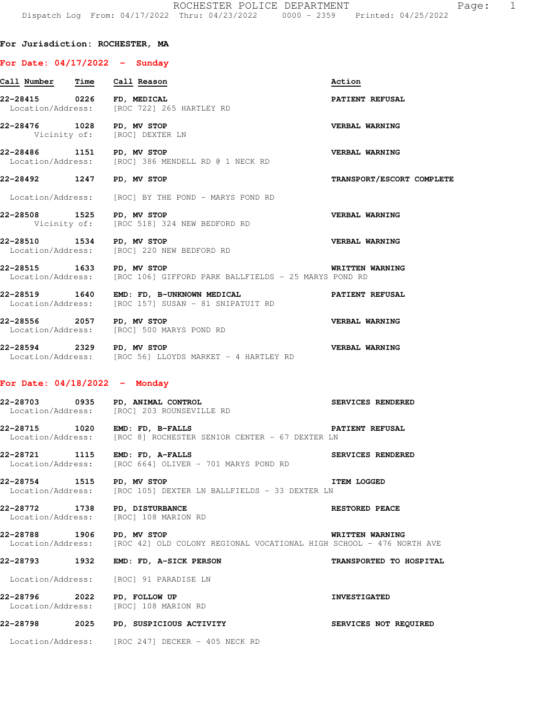## **For Jurisdiction: ROCHESTER, MA**

## **For Date: 04/17/2022 - Sunday**

| Call Number Time Call Reason    |                                                                                                                  | Action                    |
|---------------------------------|------------------------------------------------------------------------------------------------------------------|---------------------------|
| 22-28415 0226 FD, MEDICAL       | Location/Address: [ROC 722] 265 HARTLEY RD                                                                       | PATIENT REFUSAL           |
|                                 | 22-28476 1028 PD, MV STOP<br>Vicinity of: [ROC] DEXTER LN                                                        | VERBAL WARNING            |
|                                 | 22-28486 1151 PD, MV STOP<br>Location/Address: [ROC] 386 MENDELL RD @ 1 NECK RD                                  | <b>VERBAL WARNING</b>     |
| 22-28492 1247 PD, MV STOP       |                                                                                                                  | TRANSPORT/ESCORT COMPLETE |
|                                 | Location/Address: [ROC] BY THE POND - MARYS POND RD                                                              |                           |
| 22-28508 1525 PD, MV STOP       | Vicinity of: [ROC 518] 324 NEW BEDFORD RD                                                                        | <b>VERBAL WARNING</b>     |
| 22-28510 1534 PD, MV STOP       | Location/Address: [ROC] 220 NEW BEDFORD RD                                                                       | <b>VERBAL WARNING</b>     |
| 22-28515 1633 PD, MV STOP       | Location/Address: [ROC 106] GIFFORD PARK BALLFIELDS - 25 MARYS POND RD                                           | WRITTEN WARNING           |
|                                 | 22-28519   1640 EMD: FD, B-UNKNOWN MEDICAL   PATIENT REFUSAL Location/Address: [ROC 157] SUSAN - 81 SNIPATUIT RD |                           |
| 22-28556 2057 PD, MV STOP       | Location/Address: [ROC] 500 MARYS POND RD                                                                        | <b>VERBAL WARNING</b>     |
| 22-28594 2329 PD, MV STOP       | <b>VERBAL WARNING</b><br>Location/Address: [ROC 56] LLOYDS MARKET - 4 HARTLEY RD                                 |                           |
| For Date: $04/18/2022 -$ Monday |                                                                                                                  |                           |
|                                 | 22-28703 0935 PD, ANIMAL CONTROL<br>Location/Address: [ROC] 203 ROUNSEVILLE RD                                   | <b>SERVICES RENDERED</b>  |

**22-28715 1020 EMD: FD, B-FALLS PATIENT REFUSAL**  Location/Address: [ROC 8] ROCHESTER SENIOR CENTER - 67 DEXTER LN

**22-28721 1115 EMD: FD, A-FALLS SERVICES RENDERED**  Location/Address: [ROC 664] OLIVER - 701 MARYS POND RD

**22-28754 1515 PD, MV STOP ITEM LOGGED**  Location/Address: [ROC 105] DEXTER LN BALLFIELDS - 33 DEXTER LN

**22-28772 1738 PD, DISTURBANCE RESTORED PEACE**  Location/Address: [ROC] 108 MARION RD

**22-28788 1906 PD, MV STOP WRITTEN WARNING**  Location/Address: [ROC 42] OLD COLONY REGIONAL VOCATIONAL HIGH SCHOOL - 476 NORTH AVE

**22-28793 1932 EMD: FD, A-SICK PERSON TRANSPORTED TO HOSPITAL** 

Location/Address: [ROC] 91 PARADISE LN

**22-28796 2022 PD, FOLLOW UP INVESTIGATED**  Location/Address: [ROC] 108 MARION RD

**22-28798 2025 PD, SUSPICIOUS ACTIVITY SERVICES NOT REQUIRED**  Location/Address: [ROC 247] DECKER - 405 NECK RD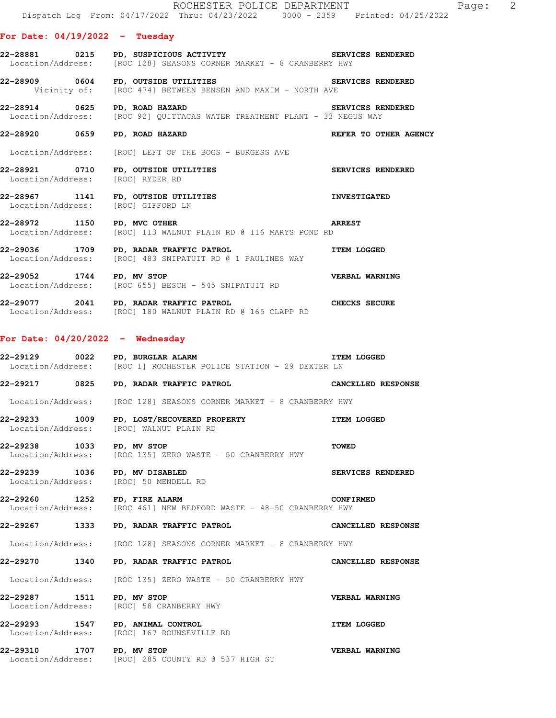|                                                                        | ROCHESTER POLICE DEPARTMENT<br>Dispatch Log From: 04/17/2022 Thru: 04/23/2022 0000 - 2359 Printed: 04/25/2022                                    |                           |
|------------------------------------------------------------------------|--------------------------------------------------------------------------------------------------------------------------------------------------|---------------------------|
| For Date: $04/19/2022 - Tuesday$                                       |                                                                                                                                                  |                           |
|                                                                        | 22-28881     0215   PD, SUSPICIOUS ACTIVITY             SERVICES RENDERED<br>Location/Address: [ROC 128] SEASONS CORNER MARKET - 8 CRANBERRY HWY |                           |
|                                                                        | 22-28909 0604 FD, OUTSIDE UTILITIES<br>Vicinity of: [ROC 474] BETWEEN BENSEN AND MAXIM - NORTH AVE                                               | SERVICES RENDERED         |
|                                                                        | 22-28914 0625 PD, ROAD HAZARD<br>Location/Address: [ROC 92] QUITTACAS WATER TREATMENT PLANT - 33 NEGUS WAY                                       | SERVICES RENDERED         |
| 22-28920 0659 PD, ROAD HAZARD                                          |                                                                                                                                                  | REFER TO OTHER AGENCY     |
|                                                                        | Location/Address: [ROC] LEFT OF THE BOGS - BURGESS AVE                                                                                           |                           |
| Location/Address: [ROC] RYDER RD                                       | 22-28921 0710 FD, OUTSIDE UTILITIES                                                                                                              | SERVICES RENDERED         |
| Location/Address: [ROC] GIFFORD LN                                     | 22-28967 1141 FD, OUTSIDE UTILITIES NE ANNESTIGATED                                                                                              |                           |
| 22-28972 1150 PD, MVC OTHER                                            | <b>ARREST</b><br>Location/Address: [ROC] 113 WALNUT PLAIN RD @ 116 MARYS POND RD                                                                 |                           |
|                                                                        | 22-29036 1709 PD, RADAR TRAFFIC PATROL NET STAR LOGGED<br>Location/Address: [ROC] 483 SNIPATUIT RD @ 1 PAULINES WAY                              |                           |
|                                                                        | 22-29052 1744 PD, MV STOP<br>Location/Address: [ROC 655] BESCH - 545 SNIPATUIT RD                                                                |                           |
|                                                                        | 22-29077 2041 PD, RADAR TRAFFIC PATROL CHECKS SECURE Location/Address: [ROC] 180 WALNUT PLAIN RD @ 165 CLAPP RD                                  |                           |
| For Date: $04/20/2022 -$ Wednesday                                     |                                                                                                                                                  |                           |
|                                                                        | ITEM LOGGED<br>22-29129 0022 PD, BURGLAR ALARM<br>Location/Address: [ROC 1] ROCHESTER POLICE STATION - 29 DEXTER LN                              |                           |
|                                                                        | 22-29217 0825 PD, RADAR TRAFFIC PATROL                                                                                                           | CANCELLED RESPONSE        |
|                                                                        | Location/Address: [ROC 128] SEASONS CORNER MARKET - 8 CRANBERRY HWY                                                                              |                           |
| Location/Address: [ROC] WALNUT PLAIN RD                                | 22-29233 1009 PD, LOST/RECOVERED PROPERTY                                                                                                        | <b>ITEM LOGGED</b>        |
| 22-29238 1033 PD, MV STOP                                              | Location/Address: [ROC 135] ZERO WASTE - 50 CRANBERRY HWY                                                                                        | <b>TOWED</b>              |
| 22-29239 1036 PD, MV DISABLED<br>Location/Address: [ROC] 50 MENDELL RD |                                                                                                                                                  | SERVICES RENDERED         |
| 22-29260 1252 FD, FIRE ALARM                                           | Location/Address: [ROC 461] NEW BEDFORD WASTE - 48-50 CRANBERRY HWY                                                                              | <b>CONFIRMED</b>          |
|                                                                        | 22-29267 1333 PD, RADAR TRAFFIC PATROL                                                                                                           | CANCELLED RESPONSE        |
|                                                                        | Location/Address: [ROC 128] SEASONS CORNER MARKET - 8 CRANBERRY HWY                                                                              |                           |
|                                                                        | 22-29270 1340 PD, RADAR TRAFFIC PATROL                                                                                                           | <b>CANCELLED RESPONSE</b> |
|                                                                        | Location/Address: [ROC 135] ZERO WASTE - 50 CRANBERRY HWY                                                                                        |                           |
| 22-29287 1511 PD, MV STOP                                              | Location/Address: [ROC] 58 CRANBERRY HWY                                                                                                         | VERBAL WARNING            |
|                                                                        | 22-29293 1547 PD, ANIMAL CONTROL<br>Location/Address: [ROC] 167 ROUNSEVILLE RD                                                                   | <b>ITEM LOGGED</b>        |
|                                                                        | 22-29310        1707      PD, MV STOP<br>Location/Address:     [ROC] 285 COUNTY RD @ 537 HIGH ST                                                 | <b>VERBAL WARNING</b>     |

Page: 2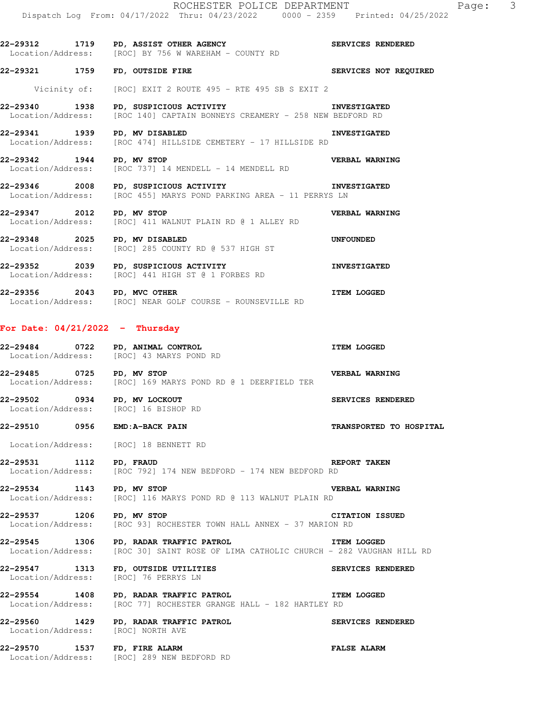**22-29312 1719 PD, ASSIST OTHER AGENCY SERVICES RENDERED** 

Location/Address: [ROC] BY 756 W WAREHAM - COUNTY RD **22-29321 1759 FD, OUTSIDE FIRE SERVICES NOT REQUIRED**  Vicinity of: [ROC] EXIT 2 ROUTE 495 - RTE 495 SB S EXIT 2 **22-29340 1938 PD, SUSPICIOUS ACTIVITY INVESTIGATED**  Location/Address: [ROC 140] CAPTAIN BONNEYS CREAMERY - 258 NEW BEDFORD RD **22-29341 1939 PD, MV DISABLED INVESTIGATED**<br>Location/Address: [ROC 474] HILLSIDE CEMETERY - 17 HILLSIDE RD [ROC 474] HILLSIDE CEMETERY - 17 HILLSIDE RD **22-29342 1944 PD, MV STOP VERBAL WARNING**  Location/Address: [ROC 737] 14 MENDELL - 14 MENDELL RD **22-29346 2008 PD, SUSPICIOUS ACTIVITY INVESTIGATED**  Location/Address: [ROC 455] MARYS POND PARKING AREA - 11 PERRYS LN **22-29347 2012 PD, MV STOP VERBAL WARNING**  Location/Address: [ROC] 411 WALNUT PLAIN RD @ 1 ALLEY RD **22-29348 2025 PD, MV DISABLED UNFOUNDED**  Location/Address: [ROC] 285 COUNTY RD @ 537 HIGH ST **22-29352 2039 PD, SUSPICIOUS ACTIVITY INVESTIGATED**  Location/Address: [ROC] 441 HIGH ST @ 1 FORBES RD **22-29356** 2043 PD, MVC OTHER **ITEM LOGGED**  Location/Address: [ROC] NEAR GOLF COURSE - ROUNSEVILLE RD **For Date: 04/21/2022 - Thursday 22-29484 0722 PD, ANIMAL CONTROL ITEM LOGGED**  Location/Address: [ROC] 43 MARYS POND RD **22-29485 0725 PD, MV STOP CONDER AND REEVALUARY VERBAL WARNING Location/Address:** [ROC] 169 MARYS POND RD @ 1 DEERFIELD TER [ROC] 169 MARYS POND RD @ 1 DEERFIELD TER **22-29502 0934 PD, MV LOCKOUT SERVICES RENDERED**  Location/Address: [ROC] 16 BISHOP RD **22-29510 0956 EMD:A-BACK PAIN TRANSPORTED TO HOSPITAL**  Location/Address: [ROC] 18 BENNETT RD **22-29531 1112 PD, FRAUD REPORT TAKEN**  Location/Address: [ROC 792] 174 NEW BEDFORD - 174 NEW BEDFORD RD **22-29534 1143 PD, MV STOP VERBAL WARNING**  [ROC] 116 MARYS POND RD @ 113 WALNUT PLAIN RD **22-29537 1206 PD, MV STOP** CITATION ISSUED<br>Location/Address: [ROC 93] ROCHESTER TOWN HALL ANNEX - 37 MARION RD [ROC 93] ROCHESTER TOWN HALL ANNEX - 37 MARION RD **22-29545 1306 PD, RADAR TRAFFIC PATROL ITEM LOGGED**  Location/Address: [ROC 30] SAINT ROSE OF LIMA CATHOLIC CHURCH - 282 VAUGHAN HILL RD **22-29547 1313 FD, OUTSIDE UTILITIES SERVICES RENDERED**  Location/Address: **22-29554 1408 PD, RADAR TRAFFIC PATROL ITEM LOGGED**  [ROC 77] ROCHESTER GRANGE HALL - 182 HARTLEY RD **22-29560 1429 PD, RADAR TRAFFIC PATROL SERVICES RENDERED**  Location/Address: [ROC] NORTH AVE **22-29570 1537 FD, FIRE ALARM FALSE ALARM**  Location/Address: [ROC] 289 NEW BEDFORD RD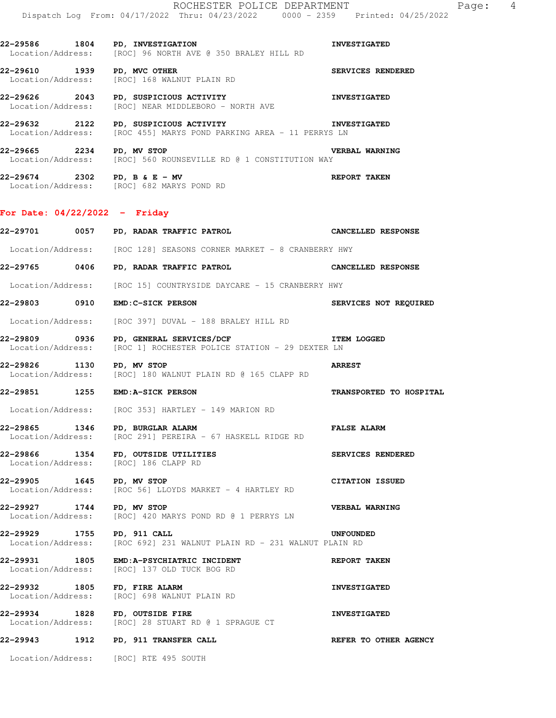Location/Address: [ROC] 96 NORTH AVE @ 350 BRALEY HILL RD **22-29610 1939 PD, MVC OTHER SERVICES RENDERED**  Location/Address: [ROC] 168 WALNUT PLAIN RD

**22-29626 2043 PD, SUSPICIOUS ACTIVITY INVESTIGATED**  Location/Address: [ROC] NEAR MIDDLEBORO - NORTH AVE

**22-29632 2122 PD, SUSPICIOUS ACTIVITY INVESTIGATED**  Location/Address: [ROC 455] MARYS POND PARKING AREA - 11 PERRYS LN

**22-29665 2234 PD, MV STOP VERBAL WARNING**  Location/Address: [ROC] 560 ROUNSEVILLE RD @ 1 CONSTITUTION WAY

**22-29674 2302 PD, B & E - MV REPORT TAKEN**  Location/Address: [ROC] 682 MARYS POND RD

## **For Date: 04/22/2022 - Friday**

|                            | 22-29701 0057 PD, RADAR TRAFFIC PATROL                                                                                                      | CANCELLED RESPONSE           |
|----------------------------|---------------------------------------------------------------------------------------------------------------------------------------------|------------------------------|
|                            | Location/Address: [ROC 128] SEASONS CORNER MARKET - 8 CRANBERRY HWY                                                                         |                              |
|                            | 22-29765 0406 PD, RADAR TRAFFIC PATROL CANCELLED RESPONSE                                                                                   |                              |
|                            | Location/Address: [ROC 15] COUNTRYSIDE DAYCARE - 15 CRANBERRY HWY                                                                           |                              |
|                            | 22-29803 0910 EMD: C-SICK PERSON                                                                                                            | <b>SERVICES NOT REQUIRED</b> |
|                            | Location/Address: [ROC 397] DUVAL - 188 BRALEY HILL RD                                                                                      |                              |
|                            | 22-29809 0936 PD, GENERAL SERVICES/DCF NETRAL SERVICES/DORE TEM LOGGED<br>Location/Address: [ROC 1] ROCHESTER POLICE STATION - 29 DEXTER LN |                              |
| 22-29826 1130 PD, MV STOP  | Location/Address: [ROC] 180 WALNUT PLAIN RD @ 165 CLAPP RD                                                                                  | <b>ARREST</b>                |
|                            | 22-29851 1255 EMD:A-SICK PERSON                                                                                                             | TRANSPORTED TO HOSPITAL      |
|                            | Location/Address: [ROC 353] HARTLEY - 149 MARION RD                                                                                         |                              |
|                            | 22-29865 1346 PD, BURGLAR ALARM<br>Location/Address: [ROC 291] PEREIRA - 67 HASKELL RIDGE RD                                                | <b>FALSE ALARM</b>           |
|                            | 22-29866 1354 FD, OUTSIDE UTILITIES<br>Location/Address: [ROC] 186 CLAPP RD                                                                 | SERVICES RENDERED            |
| 22-29905 1645 PD, MV STOP  | Location/Address: [ROC 56] LLOYDS MARKET - 4 HARTLEY RD                                                                                     | <b>CITATION ISSUED</b>       |
| 22-29927 1744 PD, MV STOP  | Location/Address: [ROC] 420 MARYS POND RD @ 1 PERRYS LN                                                                                     | <b>VERBAL WARNING</b>        |
| 22-29929 1755 PD, 911 CALL | Location/Address: [ROC 692] 231 WALNUT PLAIN RD - 231 WALNUT PLAIN RD                                                                       | UNFOUNDED                    |
|                            | 22-29931 1805 EMD:A-PSYCHIATRIC INCIDENT<br>Location/Address: [ROC] 137 OLD TUCK BOG RD                                                     | REPORT TAKEN                 |
|                            | 22-29932 1805 FD, FIRE ALARM<br>Location/Address: [ROC] 698 WALNUT PLAIN RD                                                                 | <b>INVESTIGATED</b>          |
| 22-29934                   | 1828 FD, OUTSIDE FIRE<br>Location/Address: [ROC] 28 STUART RD @ 1 SPRAGUE CT                                                                | <b>INVESTIGATED</b>          |
|                            |                                                                                                                                             | REFER TO OTHER AGENCY        |
|                            | Location/Address: [ROC] RTE 495 SOUTH                                                                                                       |                              |
|                            |                                                                                                                                             |                              |